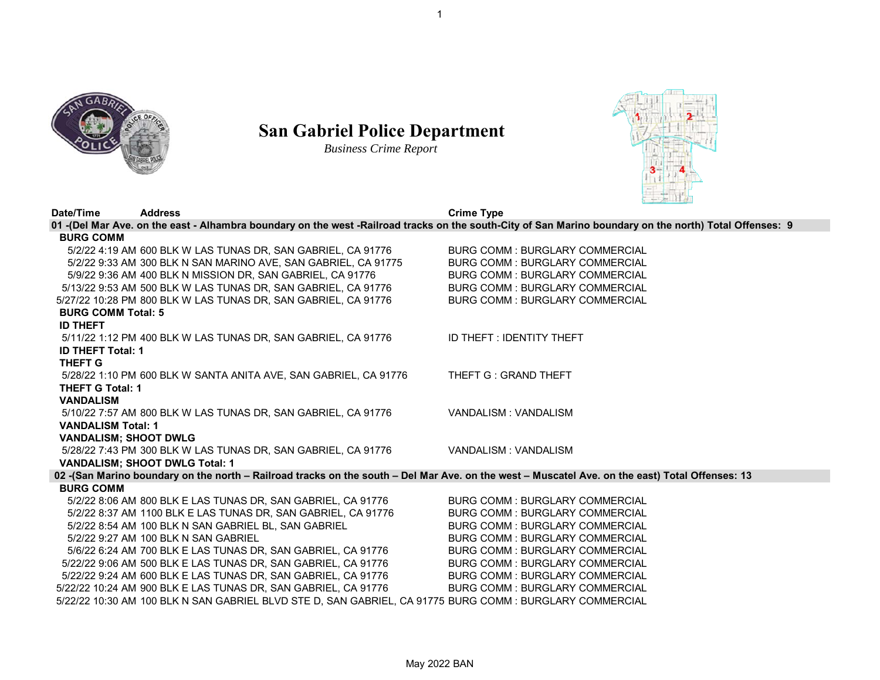



## **San Gabriel Police Department**

*Business Crime Report*



| Date/Time                    | <b>Address</b>                                                   | <b>Crime Type</b>                                                                                                                                       |
|------------------------------|------------------------------------------------------------------|---------------------------------------------------------------------------------------------------------------------------------------------------------|
|                              |                                                                  | 01 -(Del Mar Ave. on the east - Alhambra boundary on the west -Railroad tracks on the south-City of San Marino boundary on the north) Total Offenses: 9 |
| <b>BURG COMM</b>             |                                                                  |                                                                                                                                                         |
|                              | 5/2/22 4:19 AM 600 BLK W LAS TUNAS DR, SAN GABRIEL, CA 91776     | <b>BURG COMM: BURGLARY COMMERCIAL</b>                                                                                                                   |
|                              | 5/2/22 9:33 AM 300 BLK N SAN MARINO AVE, SAN GABRIEL, CA 91775   | <b>BURG COMM: BURGLARY COMMERCIAL</b>                                                                                                                   |
|                              | 5/9/22 9:36 AM 400 BLK N MISSION DR, SAN GABRIEL, CA 91776       | <b>BURG COMM: BURGLARY COMMERCIAL</b>                                                                                                                   |
|                              | 5/13/22 9:53 AM 500 BLK W LAS TUNAS DR, SAN GABRIEL, CA 91776    | <b>BURG COMM: BURGLARY COMMERCIAL</b>                                                                                                                   |
|                              | 5/27/22 10:28 PM 800 BLK W LAS TUNAS DR, SAN GABRIEL, CA 91776   | <b>BURG COMM: BURGLARY COMMERCIAL</b>                                                                                                                   |
| <b>BURG COMM Total: 5</b>    |                                                                  |                                                                                                                                                         |
| <b>ID THEFT</b>              |                                                                  |                                                                                                                                                         |
|                              | 5/11/22 1:12 PM 400 BLK W LAS TUNAS DR, SAN GABRIEL, CA 91776    | ID THEFT: IDENTITY THEFT                                                                                                                                |
| <b>ID THEFT Total: 1</b>     |                                                                  |                                                                                                                                                         |
| <b>THEFT G</b>               |                                                                  |                                                                                                                                                         |
|                              | 5/28/22 1:10 PM 600 BLK W SANTA ANITA AVE, SAN GABRIEL, CA 91776 | THEFT G: GRAND THEFT                                                                                                                                    |
| <b>THEFT G Total: 1</b>      |                                                                  |                                                                                                                                                         |
| <b>VANDALISM</b>             |                                                                  |                                                                                                                                                         |
|                              | 5/10/22 7:57 AM 800 BLK W LAS TUNAS DR, SAN GABRIEL, CA 91776    | VANDALISM : VANDALISM                                                                                                                                   |
| <b>VANDALISM Total: 1</b>    |                                                                  |                                                                                                                                                         |
| <b>VANDALISM; SHOOT DWLG</b> |                                                                  |                                                                                                                                                         |
|                              | 5/28/22 7:43 PM 300 BLK W LAS TUNAS DR, SAN GABRIEL, CA 91776    | VANDALISM: VANDALISM                                                                                                                                    |
|                              | <b>VANDALISM; SHOOT DWLG Total: 1</b>                            |                                                                                                                                                         |
|                              |                                                                  | 02 -(San Marino boundary on the north - Railroad tracks on the south - Del Mar Ave. on the west - Muscatel Ave. on the east) Total Offenses: 13         |
| <b>BURG COMM</b>             |                                                                  |                                                                                                                                                         |
|                              | 5/2/22 8:06 AM 800 BLK E LAS TUNAS DR, SAN GABRIEL, CA 91776     | <b>BURG COMM: BURGLARY COMMERCIAL</b>                                                                                                                   |
|                              | 5/2/22 8:37 AM 1100 BLK E LAS TUNAS DR, SAN GABRIEL, CA 91776    | <b>BURG COMM: BURGLARY COMMERCIAL</b>                                                                                                                   |
|                              | 5/2/22 8:54 AM 100 BLK N SAN GABRIEL BL, SAN GABRIEL             | <b>BURG COMM: BURGLARY COMMERCIAL</b>                                                                                                                   |
|                              | 5/2/22 9:27 AM 100 BLK N SAN GABRIEL                             | <b>BURG COMM: BURGLARY COMMERCIAL</b>                                                                                                                   |
|                              | 5/6/22 6:24 AM 700 BLK E LAS TUNAS DR, SAN GABRIEL, CA 91776     | BURG COMM : BURGLARY COMMERCIAL                                                                                                                         |
|                              | 5/22/22 9:06 AM 500 BLK E LAS TUNAS DR, SAN GABRIEL, CA 91776    | <b>BURG COMM: BURGLARY COMMERCIAL</b>                                                                                                                   |
|                              | 5/22/22 9:24 AM 600 BLK E LAS TUNAS DR, SAN GABRIEL, CA 91776    | <b>BURG COMM: BURGLARY COMMERCIAL</b>                                                                                                                   |
|                              | 5/22/22 10:24 AM 900 BLK E LAS TUNAS DR, SAN GABRIEL, CA 91776   | <b>BURG COMM: BURGLARY COMMERCIAL</b>                                                                                                                   |

5/22/22 10:30 AM 100 BLK N SAN GABRIEL BLVD STE D, SAN GABRIEL, CA 91775 BURG COMM : BURGLARY COMMERCIAL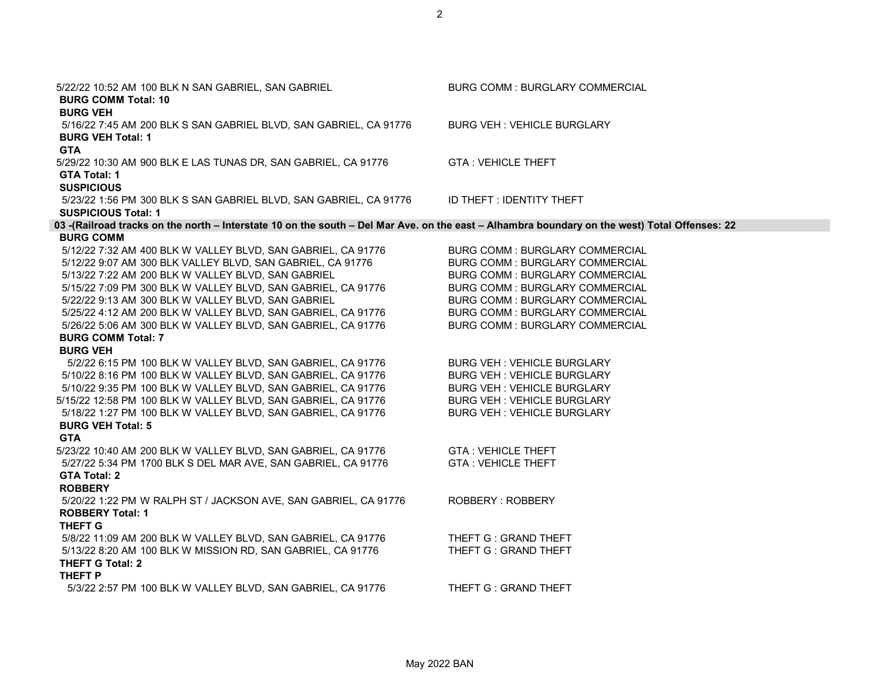| 5/22/22 10:52 AM 100 BLK N SAN GABRIEL, SAN GABRIEL<br><b>BURG COMM Total: 10</b><br><b>BURG VEH</b>                                          | <b>BURG COMM: BURGLARY COMMERCIAL</b> |
|-----------------------------------------------------------------------------------------------------------------------------------------------|---------------------------------------|
| 5/16/22 7:45 AM 200 BLK S SAN GABRIEL BLVD, SAN GABRIEL, CA 91776<br><b>BURG VEH Total: 1</b><br><b>GTA</b>                                   | <b>BURG VEH: VEHICLE BURGLARY</b>     |
| 5/29/22 10:30 AM 900 BLK E LAS TUNAS DR, SAN GABRIEL, CA 91776<br>GTA Total: 1<br><b>SUSPICIOUS</b>                                           | <b>GTA: VEHICLE THEFT</b>             |
| 5/23/22 1:56 PM 300 BLK S SAN GABRIEL BLVD, SAN GABRIEL, CA 91776<br><b>SUSPICIOUS Total: 1</b>                                               | ID THEFT: IDENTITY THEFT              |
| 03 -(Railroad tracks on the north - Interstate 10 on the south - Del Mar Ave. on the east - Alhambra boundary on the west) Total Offenses: 22 |                                       |
| <b>BURG COMM</b>                                                                                                                              |                                       |
| 5/12/22 7:32 AM 400 BLK W VALLEY BLVD, SAN GABRIEL, CA 91776                                                                                  | BURG COMM : BURGLARY COMMERCIAL       |
| 5/12/22 9:07 AM 300 BLK VALLEY BLVD, SAN GABRIEL, CA 91776                                                                                    | <b>BURG COMM: BURGLARY COMMERCIAL</b> |
| 5/13/22 7:22 AM 200 BLK W VALLEY BLVD, SAN GABRIEL                                                                                            | <b>BURG COMM: BURGLARY COMMERCIAL</b> |
| 5/15/22 7:09 PM 300 BLK W VALLEY BLVD, SAN GABRIEL, CA 91776                                                                                  | BURG COMM : BURGLARY COMMERCIAL       |
| 5/22/22 9:13 AM 300 BLK W VALLEY BLVD, SAN GABRIEL                                                                                            | <b>BURG COMM: BURGLARY COMMERCIAL</b> |
| 5/25/22 4:12 AM 200 BLK W VALLEY BLVD, SAN GABRIEL, CA 91776                                                                                  | BURG COMM : BURGLARY COMMERCIAL       |
| 5/26/22 5:06 AM 300 BLK W VALLEY BLVD, SAN GABRIEL, CA 91776                                                                                  | <b>BURG COMM: BURGLARY COMMERCIAL</b> |
| <b>BURG COMM Total: 7</b>                                                                                                                     |                                       |
| <b>BURG VEH</b>                                                                                                                               |                                       |
| 5/2/22 6:15 PM 100 BLK W VALLEY BLVD, SAN GABRIEL, CA 91776                                                                                   | <b>BURG VEH: VEHICLE BURGLARY</b>     |
| 5/10/22 8:16 PM 100 BLK W VALLEY BLVD, SAN GABRIEL, CA 91776                                                                                  | <b>BURG VEH: VEHICLE BURGLARY</b>     |
| 5/10/22 9:35 PM 100 BLK W VALLEY BLVD, SAN GABRIEL, CA 91776                                                                                  | <b>BURG VEH: VEHICLE BURGLARY</b>     |
| 5/15/22 12:58 PM 100 BLK W VALLEY BLVD, SAN GABRIEL, CA 91776                                                                                 | <b>BURG VEH: VEHICLE BURGLARY</b>     |
| 5/18/22 1:27 PM 100 BLK W VALLEY BLVD, SAN GABRIEL, CA 91776                                                                                  | <b>BURG VEH: VEHICLE BURGLARY</b>     |
| <b>BURG VEH Total: 5</b><br><b>GTA</b>                                                                                                        |                                       |
| 5/23/22 10:40 AM 200 BLK W VALLEY BLVD, SAN GABRIEL, CA 91776                                                                                 | <b>GTA: VEHICLE THEFT</b>             |
| 5/27/22 5:34 PM 1700 BLK S DEL MAR AVE, SAN GABRIEL, CA 91776                                                                                 | <b>GTA: VEHICLE THEFT</b>             |
| <b>GTA Total: 2</b>                                                                                                                           |                                       |
| <b>ROBBERY</b>                                                                                                                                |                                       |
| 5/20/22 1:22 PM W RALPH ST / JACKSON AVE, SAN GABRIEL, CA 91776                                                                               | ROBBERY: ROBBERY                      |
| <b>ROBBERY Total: 1</b>                                                                                                                       |                                       |
| <b>THEFT G</b>                                                                                                                                |                                       |
| 5/8/22 11:09 AM 200 BLK W VALLEY BLVD, SAN GABRIEL, CA 91776                                                                                  | THEFT G: GRAND THEFT                  |
| 5/13/22 8:20 AM 100 BLK W MISSION RD, SAN GABRIEL, CA 91776                                                                                   | THEFT G: GRAND THEFT                  |
| <b>THEFT G Total: 2</b>                                                                                                                       |                                       |
| THEFT P                                                                                                                                       |                                       |
| 5/3/22 2:57 PM 100 BLK W VALLEY BLVD, SAN GABRIEL, CA 91776                                                                                   | THEFT G: GRAND THEFT                  |
|                                                                                                                                               |                                       |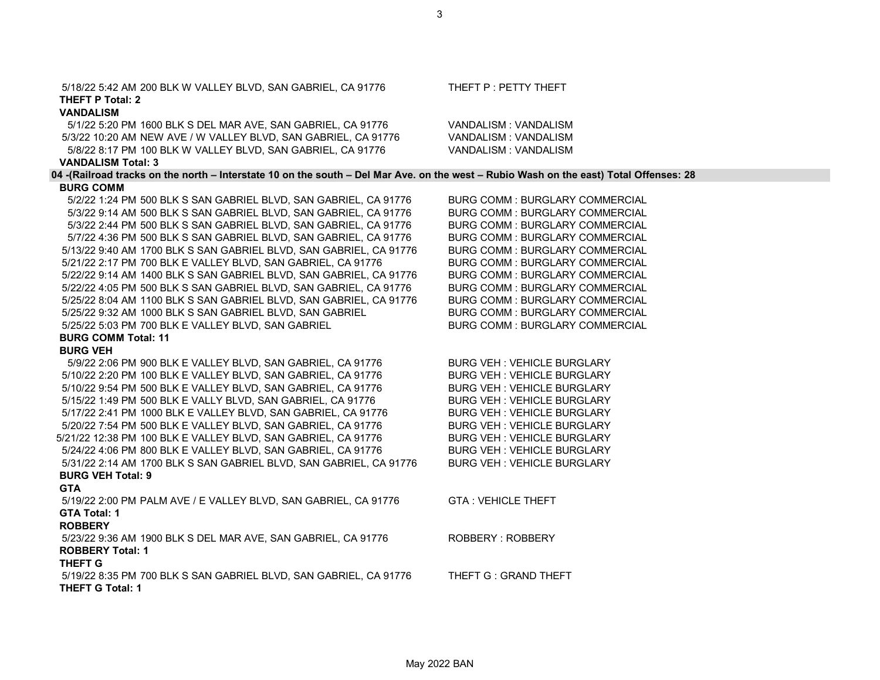| 5/18/22 5:42 AM 200 BLK W VALLEY BLVD, SAN GABRIEL, CA 91776                                                                           | THEFT P : PETTY THEFT                 |
|----------------------------------------------------------------------------------------------------------------------------------------|---------------------------------------|
| THEFT P Total: 2                                                                                                                       |                                       |
| <b>VANDALISM</b>                                                                                                                       |                                       |
| 5/1/22 5:20 PM 1600 BLK S DEL MAR AVE, SAN GABRIEL, CA 91776                                                                           | VANDALISM: VANDALISM                  |
| 5/3/22 10:20 AM NEW AVE / W VALLEY BLVD, SAN GABRIEL, CA 91776                                                                         | VANDALISM: VANDALISM                  |
| 5/8/22 8:17 PM 100 BLK W VALLEY BLVD, SAN GABRIEL, CA 91776                                                                            | VANDALISM: VANDALISM                  |
| <b>VANDALISM Total: 3</b>                                                                                                              |                                       |
| 04 -(Railroad tracks on the north - Interstate 10 on the south - Del Mar Ave. on the west - Rubio Wash on the east) Total Offenses: 28 |                                       |
| <b>BURG COMM</b>                                                                                                                       | <b>BURG COMM: BURGLARY COMMERCIAL</b> |
| 5/2/22 1:24 PM 500 BLK S SAN GABRIEL BLVD, SAN GABRIEL, CA 91776<br>5/3/22 9:14 AM 500 BLK S SAN GABRIEL BLVD, SAN GABRIEL, CA 91776   | BURG COMM : BURGLARY COMMERCIAL       |
| 5/3/22 2:44 PM 500 BLK S SAN GABRIEL BLVD, SAN GABRIEL, CA 91776                                                                       | BURG COMM : BURGLARY COMMERCIAL       |
| 5/7/22 4:36 PM 500 BLK S SAN GABRIEL BLVD, SAN GABRIEL, CA 91776                                                                       | BURG COMM : BURGLARY COMMERCIAL       |
| 5/13/22 9:40 AM 1700 BLK S SAN GABRIEL BLVD, SAN GABRIEL, CA 91776                                                                     | <b>BURG COMM: BURGLARY COMMERCIAL</b> |
| 5/21/22 2:17 PM 700 BLK E VALLEY BLVD, SAN GABRIEL, CA 91776                                                                           | <b>BURG COMM: BURGLARY COMMERCIAL</b> |
| 5/22/22 9:14 AM 1400 BLK S SAN GABRIEL BLVD, SAN GABRIEL, CA 91776                                                                     | BURG COMM : BURGLARY COMMERCIAL       |
| 5/22/22 4:05 PM 500 BLK S SAN GABRIEL BLVD, SAN GABRIEL, CA 91776                                                                      | BURG COMM : BURGLARY COMMERCIAL       |
| 5/25/22 8:04 AM 1100 BLK S SAN GABRIEL BLVD, SAN GABRIEL, CA 91776                                                                     | BURG COMM : BURGLARY COMMERCIAL       |
| 5/25/22 9:32 AM 1000 BLK S SAN GABRIEL BLVD, SAN GABRIEL                                                                               | <b>BURG COMM: BURGLARY COMMERCIAL</b> |
| 5/25/22 5:03 PM 700 BLK E VALLEY BLVD, SAN GABRIEL                                                                                     | BURG COMM : BURGLARY COMMERCIAL       |
| <b>BURG COMM Total: 11</b>                                                                                                             |                                       |
| <b>BURG VEH</b>                                                                                                                        |                                       |
| 5/9/22 2:06 PM 900 BLK E VALLEY BLVD, SAN GABRIEL, CA 91776                                                                            | <b>BURG VEH: VEHICLE BURGLARY</b>     |
| 5/10/22 2:20 PM 100 BLK E VALLEY BLVD, SAN GABRIEL, CA 91776                                                                           | <b>BURG VEH: VEHICLE BURGLARY</b>     |
| 5/10/22 9:54 PM 500 BLK E VALLEY BLVD, SAN GABRIEL, CA 91776                                                                           | <b>BURG VEH: VEHICLE BURGLARY</b>     |
| 5/15/22 1:49 PM 500 BLK E VALLY BLVD, SAN GABRIEL, CA 91776                                                                            | <b>BURG VEH: VEHICLE BURGLARY</b>     |
| 5/17/22 2:41 PM 1000 BLK E VALLEY BLVD, SAN GABRIEL, CA 91776                                                                          | <b>BURG VEH: VEHICLE BURGLARY</b>     |
| 5/20/22 7:54 PM 500 BLK E VALLEY BLVD, SAN GABRIEL, CA 91776                                                                           | <b>BURG VEH: VEHICLE BURGLARY</b>     |
| 5/21/22 12:38 PM 100 BLK E VALLEY BLVD, SAN GABRIEL, CA 91776                                                                          | <b>BURG VEH: VEHICLE BURGLARY</b>     |
| 5/24/22 4:06 PM 800 BLK E VALLEY BLVD, SAN GABRIEL, CA 91776                                                                           | <b>BURG VEH: VEHICLE BURGLARY</b>     |
| 5/31/22 2:14 AM 1700 BLK S SAN GABRIEL BLVD, SAN GABRIEL, CA 91776                                                                     | <b>BURG VEH: VEHICLE BURGLARY</b>     |
| <b>BURG VEH Total: 9</b>                                                                                                               |                                       |
| <b>GTA</b>                                                                                                                             |                                       |
| 5/19/22 2:00 PM PALM AVE / E VALLEY BLVD, SAN GABRIEL, CA 91776                                                                        | <b>GTA: VEHICLE THEFT</b>             |
| <b>GTA Total: 1</b>                                                                                                                    |                                       |
| <b>ROBBERY</b>                                                                                                                         |                                       |
| 5/23/22 9:36 AM 1900 BLK S DEL MAR AVE, SAN GABRIEL, CA 91776                                                                          | ROBBERY: ROBBERY                      |
| <b>ROBBERY Total: 1</b>                                                                                                                |                                       |
| <b>THEFT G</b>                                                                                                                         |                                       |
| 5/19/22 8:35 PM 700 BLK S SAN GABRIEL BLVD, SAN GABRIEL, CA 91776                                                                      | THEFT G: GRAND THEFT                  |
| <b>THEFT G Total: 1</b>                                                                                                                |                                       |